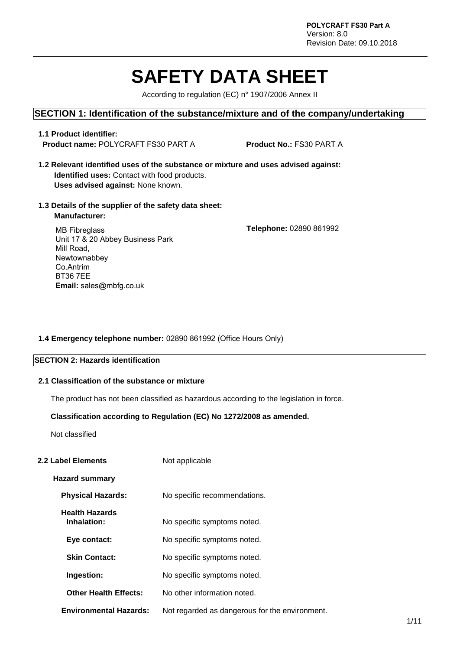# **SAFETY DATA SHEET**

According to regulation (EC) n° 1907/2006 Annex II

#### **SECTION 1: Identification of the substance/mixture and of the company/undertaking**

#### **1.1 Product identifier: Product name:** POLYCRAFT FS30 PART A **Product No.:** FS30 PART A

- **1.2 Relevant identified uses of the substance or mixture and uses advised against: Identified uses:** Contact with food products. **Uses advised against:** None known.
- **1.3 Details of the supplier of the safety data sheet: Manufacturer:**

**Telephone:** 02890 861992

MB Fibreglass Unit 17 & 20 Abbey Business Park Mill Road, Newtownabbey Co.Antrim BT36 7EE **Email:** sales@mbfg.co.uk

#### **1.4 Emergency telephone number:** 02890 861992 (Office Hours Only)

#### **SECTION 2: Hazards identification**

#### **2.1 Classification of the substance or mixture**

The product has not been classified as hazardous according to the legislation in force.

#### **Classification according to Regulation (EC) No 1272/2008 as amended.**

Not classified

#### **2.2 Label Elements** Not applicable

#### **Hazard summary**

- **Physical Hazards:** No specific recommendations.
- **Health Hazards Inhalation:** No specific symptoms noted.
- **Eye contact:** No specific symptoms noted.
- **Skin Contact:** No specific symptoms noted.
- **Ingestion:** No specific symptoms noted.
- **Other Health Effects:** No other information noted.
- **Environmental Hazards:** Not regarded as dangerous for the environment.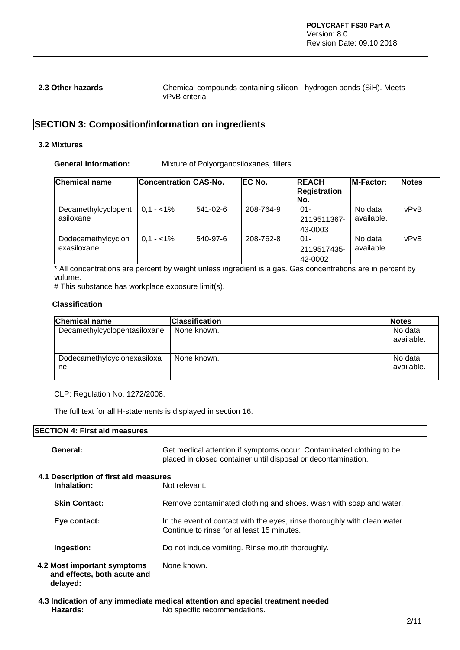**2.3 Other hazards** Chemical compounds containing silicon - hydrogen bonds (SiH). Meets vPvB criteria

### **SECTION 3: Composition/information on ingredients**

#### **3.2 Mixtures**

**General information:** Mixture of Polyorganosiloxanes, fillers.

| <b>Chemical name</b>              | Concentration CAS-No. |                | <b>IEC No.</b> | <b>REACH</b><br><b>Registration</b><br>No. | <b>M-Factor:</b>      | <b>Notes</b> |
|-----------------------------------|-----------------------|----------------|----------------|--------------------------------------------|-----------------------|--------------|
| Decamethylcyclopent<br>asiloxane  | $0.1 - 1\%$           | $541 - 02 - 6$ | 208-764-9      | $01 -$<br>2119511367-<br>43-0003           | No data<br>available. | vPvB         |
| Dodecamethylcycloh<br>exasiloxane | $0.1 - 1\%$           | 540-97-6       | 208-762-8      | $01 -$<br>2119517435-<br>42-0002           | No data<br>available. | vPvB         |

\* All concentrations are percent by weight unless ingredient is a gas. Gas concentrations are in percent by volume.

# This substance has workplace exposure limit(s).

#### **Classification**

| <b>Chemical name</b>              | <b>Classification</b> | <b>Notes</b>          |
|-----------------------------------|-----------------------|-----------------------|
| Decamethylcyclopentasiloxane      | None known.           | No data<br>available. |
| Dodecamethylcyclohexasiloxa<br>ne | None known.           | No data<br>available. |

CLP: Regulation No. 1272/2008.

The full text for all H-statements is displayed in section 16.

#### **SECTION 4: First aid measures**

| General:                                                               | Get medical attention if symptoms occur. Contaminated clothing to be<br>placed in closed container until disposal or decontamination. |
|------------------------------------------------------------------------|---------------------------------------------------------------------------------------------------------------------------------------|
| 4.1 Description of first aid measures<br>Inhalation:                   | Not relevant.                                                                                                                         |
| <b>Skin Contact:</b>                                                   | Remove contaminated clothing and shoes. Wash with soap and water.                                                                     |
| Eye contact:                                                           | In the event of contact with the eyes, rinse thoroughly with clean water.<br>Continue to rinse for at least 15 minutes.               |
| Ingestion:                                                             | Do not induce vomiting. Rinse mouth thoroughly.                                                                                       |
| 4.2 Most important symptoms<br>and effects, both acute and<br>delayed: | None known.                                                                                                                           |

**4.3 Indication of any immediate medical attention and special treatment needed Hazards:** No specific recommendations.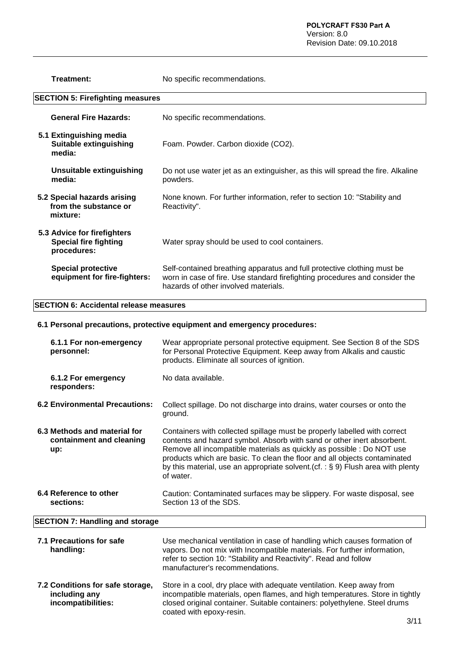**Treatment:** No specific recommendations.

| <b>SECTION 5: Firefighting measures</b>                                    |                                                                                                                                                                                                |  |
|----------------------------------------------------------------------------|------------------------------------------------------------------------------------------------------------------------------------------------------------------------------------------------|--|
| <b>General Fire Hazards:</b>                                               | No specific recommendations.                                                                                                                                                                   |  |
| 5.1 Extinguishing media<br><b>Suitable extinguishing</b><br>media:         | Foam. Powder. Carbon dioxide (CO2).                                                                                                                                                            |  |
| <b>Unsuitable extinguishing</b><br>media:                                  | Do not use water jet as an extinguisher, as this will spread the fire. Alkaline<br>powders.                                                                                                    |  |
| 5.2 Special hazards arising<br>from the substance or<br>mixture:           | None known. For further information, refer to section 10: "Stability and<br>Reactivity".                                                                                                       |  |
| 5.3 Advice for firefighters<br><b>Special fire fighting</b><br>procedures: | Water spray should be used to cool containers.                                                                                                                                                 |  |
| <b>Special protective</b><br>equipment for fire-fighters:                  | Self-contained breathing apparatus and full protective clothing must be<br>worn in case of fire. Use standard firefighting procedures and consider the<br>hazards of other involved materials. |  |

#### **SECTION 6: Accidental release measures**

#### **6.1 Personal precautions, protective equipment and emergency procedures:**

| 6.1.1 For non-emergency<br>personnel:                                   | Wear appropriate personal protective equipment. See Section 8 of the SDS<br>for Personal Protective Equipment. Keep away from Alkalis and caustic<br>products. Eliminate all sources of ignition.                                                                                                                                                                                                            |
|-------------------------------------------------------------------------|--------------------------------------------------------------------------------------------------------------------------------------------------------------------------------------------------------------------------------------------------------------------------------------------------------------------------------------------------------------------------------------------------------------|
| 6.1.2 For emergency<br>responders:                                      | No data available.                                                                                                                                                                                                                                                                                                                                                                                           |
| <b>6.2 Environmental Precautions:</b>                                   | Collect spillage. Do not discharge into drains, water courses or onto the<br>ground.                                                                                                                                                                                                                                                                                                                         |
| 6.3 Methods and material for<br>containment and cleaning<br>up:         | Containers with collected spillage must be properly labelled with correct<br>contents and hazard symbol. Absorb with sand or other inert absorbent.<br>Remove all incompatible materials as quickly as possible : Do NOT use<br>products which are basic. To clean the floor and all objects contaminated<br>by this material, use an appropriate solvent.(cf. : $\S$ 9) Flush area with plenty<br>of water. |
| 6.4 Reference to other<br>sections:                                     | Caution: Contaminated surfaces may be slippery. For waste disposal, see<br>Section 13 of the SDS.                                                                                                                                                                                                                                                                                                            |
| <b>SECTION 7: Handling and storage</b>                                  |                                                                                                                                                                                                                                                                                                                                                                                                              |
| 7.1 Precautions for safe<br>handling:                                   | Use mechanical ventilation in case of handling which causes formation of<br>vapors. Do not mix with Incompatible materials. For further information,<br>refer to section 10: "Stability and Reactivity". Read and follow<br>manufacturer's recommendations.                                                                                                                                                  |
| 7.2 Conditions for safe storage,<br>including any<br>incompatibilities: | Store in a cool, dry place with adequate ventilation. Keep away from<br>incompatible materials, open flames, and high temperatures. Store in tightly<br>closed original container. Suitable containers: polyethylene. Steel drums                                                                                                                                                                            |

coated with epoxy-resin.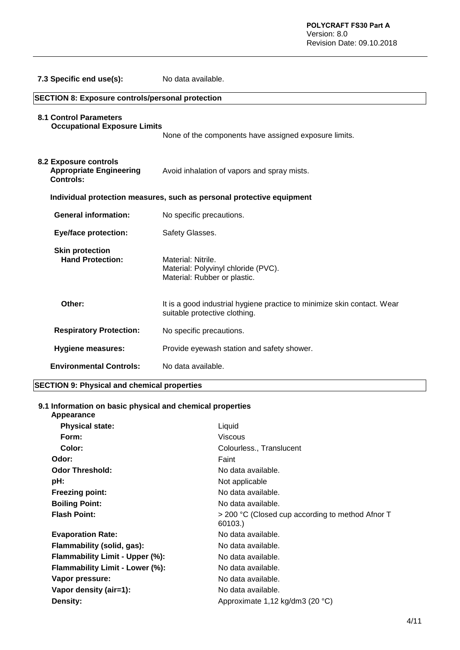| 7.3 Specific end use(s):                                                           | No data available.                                                                                       |  |
|------------------------------------------------------------------------------------|----------------------------------------------------------------------------------------------------------|--|
| <b>SECTION 8: Exposure controls/personal protection</b>                            |                                                                                                          |  |
| <b>8.1 Control Parameters</b><br><b>Occupational Exposure Limits</b>               | None of the components have assigned exposure limits.                                                    |  |
| <b>8.2 Exposure controls</b><br><b>Appropriate Engineering</b><br><b>Controls:</b> | Avoid inhalation of vapors and spray mists.                                                              |  |
|                                                                                    | Individual protection measures, such as personal protective equipment                                    |  |
| <b>General information:</b>                                                        | No specific precautions.                                                                                 |  |
| <b>Eye/face protection:</b>                                                        | Safety Glasses.                                                                                          |  |
| <b>Skin protection</b><br><b>Hand Protection:</b>                                  | Material: Nitrile.<br>Material: Polyvinyl chloride (PVC).<br>Material: Rubber or plastic.                |  |
| Other:                                                                             | It is a good industrial hygiene practice to minimize skin contact. Wear<br>suitable protective clothing. |  |
| <b>Respiratory Protection:</b>                                                     | No specific precautions.                                                                                 |  |
| <b>Hygiene measures:</b>                                                           | Provide eyewash station and safety shower.                                                               |  |
| <b>Environmental Controls:</b>                                                     | No data available.                                                                                       |  |

#### **SECTION 9: Physical and chemical properties**

### **9.1 Information on basic physical and chemical properties**

| Appearance                      |                                                             |
|---------------------------------|-------------------------------------------------------------|
| <b>Physical state:</b>          | Liquid                                                      |
| Form:                           | Viscous                                                     |
| Color:                          | Colourless., Translucent                                    |
| Odor:                           | Faint                                                       |
| <b>Odor Threshold:</b>          | No data available.                                          |
| pH:                             | Not applicable                                              |
| <b>Freezing point:</b>          | No data available.                                          |
| <b>Boiling Point:</b>           | No data available.                                          |
| <b>Flash Point:</b>             | > 200 °C (Closed cup according to method Afnor T<br>60103.) |
| <b>Evaporation Rate:</b>        | No data available.                                          |
| Flammability (solid, gas):      | No data available.                                          |
| Flammability Limit - Upper (%): | No data available.                                          |
| Flammability Limit - Lower (%): | No data available.                                          |
| Vapor pressure:                 | No data available.                                          |
| Vapor density (air=1):          | No data available.                                          |
| Density:                        | Approximate 1,12 kg/dm3 (20 °C)                             |
|                                 |                                                             |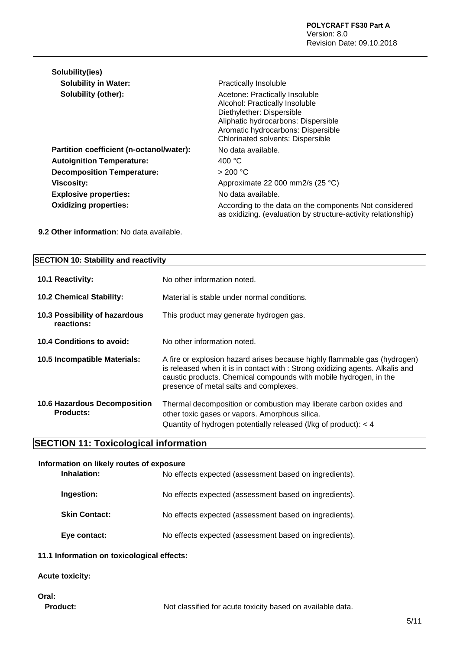| Solubility(ies)                          |                                                                                                                                                                                                                        |
|------------------------------------------|------------------------------------------------------------------------------------------------------------------------------------------------------------------------------------------------------------------------|
| <b>Solubility in Water:</b>              | <b>Practically Insoluble</b>                                                                                                                                                                                           |
| Solubility (other):                      | Acetone: Practically Insoluble<br>Alcohol: Practically Insoluble<br>Diethylether: Dispersible<br>Aliphatic hydrocarbons: Dispersible<br>Aromatic hydrocarbons: Dispersible<br><b>Chlorinated solvents: Dispersible</b> |
| Partition coefficient (n-octanol/water): | No data available.                                                                                                                                                                                                     |
| <b>Autoignition Temperature:</b>         | 400 $\degree$ C                                                                                                                                                                                                        |
| <b>Decomposition Temperature:</b>        | > 200 °C                                                                                                                                                                                                               |
| Viscosity:                               | Approximate 22 000 mm2/s (25 °C)                                                                                                                                                                                       |
| <b>Explosive properties:</b>             | No data available.                                                                                                                                                                                                     |
| <b>Oxidizing properties:</b>             | According to the data on the components Not considered<br>as oxidizing. (evaluation by structure-activity relationship)                                                                                                |

**9.2 Other information**: No data available.

| <b>SECTION 10: Stability and reactivity</b>             |                                                                                                                                                                                                                                                                           |  |
|---------------------------------------------------------|---------------------------------------------------------------------------------------------------------------------------------------------------------------------------------------------------------------------------------------------------------------------------|--|
| <b>10.1 Reactivity:</b>                                 | No other information noted.                                                                                                                                                                                                                                               |  |
| 10.2 Chemical Stability:                                | Material is stable under normal conditions.                                                                                                                                                                                                                               |  |
| 10.3 Possibility of hazardous<br>reactions:             | This product may generate hydrogen gas.                                                                                                                                                                                                                                   |  |
| 10.4 Conditions to avoid:                               | No other information noted.                                                                                                                                                                                                                                               |  |
| 10.5 Incompatible Materials:                            | A fire or explosion hazard arises because highly flammable gas (hydrogen)<br>is released when it is in contact with : Strong oxidizing agents. Alkalis and<br>caustic products. Chemical compounds with mobile hydrogen, in the<br>presence of metal salts and complexes. |  |
| <b>10.6 Hazardous Decomposition</b><br><b>Products:</b> | Thermal decomposition or combustion may liberate carbon oxides and<br>other toxic gases or vapors. Amorphous silica.<br>Quantity of hydrogen potentially released (I/kg of product): < 4                                                                                  |  |

# **SECTION 11: Toxicological information**

| Information on likely routes of exposure |                                                        |  |
|------------------------------------------|--------------------------------------------------------|--|
| Inhalation:                              | No effects expected (assessment based on ingredients). |  |
| Ingestion:                               | No effects expected (assessment based on ingredients). |  |
| <b>Skin Contact:</b>                     | No effects expected (assessment based on ingredients). |  |
| Eye contact:                             | No effects expected (assessment based on ingredients). |  |

#### **11.1 Information on toxicological effects:**

#### **Acute toxicity:**

# **Oral:**

Product: Not classified for acute toxicity based on available data.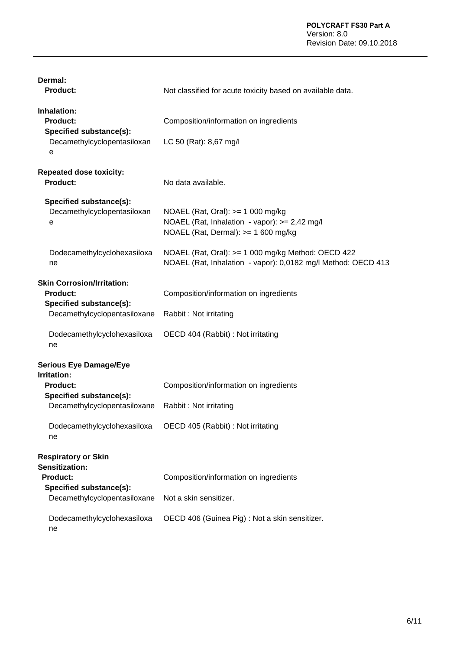| Dermal:<br><b>Product:</b>                                                                                                                                             | Not classified for acute toxicity based on available data.                                                                |
|------------------------------------------------------------------------------------------------------------------------------------------------------------------------|---------------------------------------------------------------------------------------------------------------------------|
| Inhalation:<br>Product:<br>Specified substance(s):<br>Decamethylcyclopentasiloxan<br>е                                                                                 | Composition/information on ingredients<br>LC 50 (Rat): 8,67 mg/l                                                          |
| <b>Repeated dose toxicity:</b><br>Product:                                                                                                                             | No data available.                                                                                                        |
| Specified substance(s):<br>Decamethylcyclopentasiloxan<br>е                                                                                                            | NOAEL (Rat, Oral): >= 1 000 mg/kg<br>NOAEL (Rat, Inhalation - vapor): >= 2,42 mg/l<br>NOAEL (Rat, Dermal): >= 1 600 mg/kg |
| Dodecamethylcyclohexasiloxa<br>ne                                                                                                                                      | NOAEL (Rat, Oral): >= 1 000 mg/kg Method: OECD 422<br>NOAEL (Rat, Inhalation - vapor): 0,0182 mg/l Method: OECD 413       |
| <b>Skin Corrosion/Irritation:</b><br><b>Product:</b><br>Specified substance(s):<br>Decamethylcyclopentasiloxane                                                        | Composition/information on ingredients<br>Rabbit: Not irritating                                                          |
| Dodecamethylcyclohexasiloxa<br>ne                                                                                                                                      | OECD 404 (Rabbit) : Not irritating                                                                                        |
| <b>Serious Eye Damage/Eye</b><br><b>Irritation:</b><br><b>Product:</b><br>Specified substance(s):<br>Decamethylcyclopentasiloxane<br>Dodecamethylcyclohexasiloxa<br>ne | Composition/information on ingredients<br>Rabbit: Not irritating<br>OECD 405 (Rabbit) : Not irritating                    |
| <b>Respiratory or Skin</b><br>Sensitization:<br><b>Product:</b><br>Specified substance(s):<br>Decamethylcyclopentasiloxane                                             | Composition/information on ingredients<br>Not a skin sensitizer.                                                          |
| Dodecamethylcyclohexasiloxa<br>ne                                                                                                                                      | OECD 406 (Guinea Pig) : Not a skin sensitizer.                                                                            |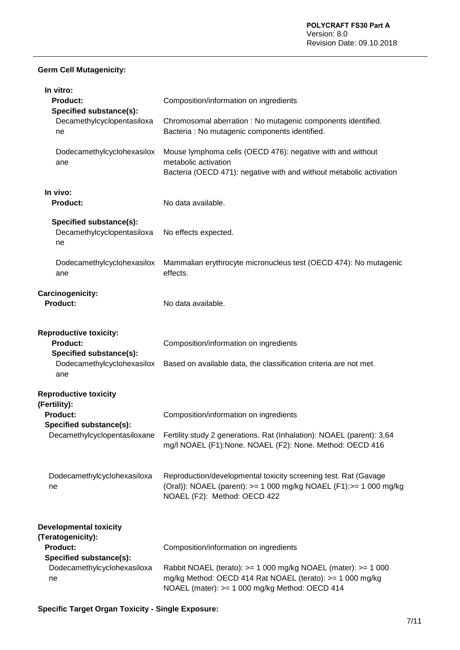#### **Germ Cell Mutagenicity:**

| In vitro:<br><b>Product:</b><br><b>Specified substance(s):</b>                                                             | Composition/information on ingredients                                                                                                                                       |
|----------------------------------------------------------------------------------------------------------------------------|------------------------------------------------------------------------------------------------------------------------------------------------------------------------------|
| Decamethylcyclopentasiloxa<br>ne                                                                                           | Chromosomal aberration : No mutagenic components identified.<br>Bacteria : No mutagenic components identified.                                                               |
| Dodecamethylcyclohexasilox<br>ane                                                                                          | Mouse lymphoma cells (OECD 476): negative with and without<br>metabolic activation<br>Bacteria (OECD 471): negative with and without metabolic activation                    |
| In vivo:<br><b>Product:</b>                                                                                                | No data available.                                                                                                                                                           |
| Specified substance(s):<br>Decamethylcyclopentasiloxa<br>ne                                                                | No effects expected.                                                                                                                                                         |
| Dodecamethylcyclohexasilox<br>ane                                                                                          | Mammalian erythrocyte micronucleus test (OECD 474): No mutagenic<br>effects.                                                                                                 |
| Carcinogenicity:<br><b>Product:</b>                                                                                        | No data available.                                                                                                                                                           |
| <b>Reproductive toxicity:</b><br><b>Product:</b><br>Specified substance(s):<br>Dodecamethylcyclohexasilox<br>ane           | Composition/information on ingredients<br>Based on available data, the classification criteria are not met.                                                                  |
| <b>Reproductive toxicity</b><br>(Fertility):<br><b>Product:</b><br>Specified substance(s):<br>Decamethylcyclopentasiloxane | Composition/information on ingredients<br>Fertility study 2 generations. Rat (Inhalation): NOAEL (parent): 3,64<br>mg/l NOAEL (F1):None. NOAEL (F2): None. Method: OECD 416  |
| Dodecamethylcyclohexasiloxa<br>ne                                                                                          | Reproduction/developmental toxicity screening test. Rat (Gavage<br>(Oral)): NOAEL (parent): >= 1 000 mg/kg NOAEL (F1):>= 1 000 mg/kg<br>NOAEL (F2): Method: OECD 422         |
| <b>Developmental toxicity</b><br>(Teratogenicity):<br><b>Product:</b>                                                      | Composition/information on ingredients                                                                                                                                       |
| Specified substance(s):<br>Dodecamethylcyclohexasiloxa<br>ne                                                               | Rabbit NOAEL (terato): >= 1 000 mg/kg NOAEL (mater): >= 1 000<br>mg/kg Method: OECD 414 Rat NOAEL (terato): >= 1 000 mg/kg<br>NOAEL (mater): >= 1 000 mg/kg Method: OECD 414 |

**Specific Target Organ Toxicity - Single Exposure:**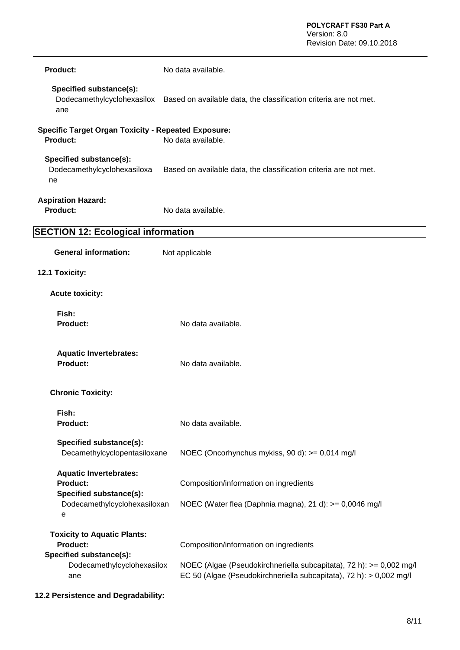| <b>Product:</b>                                                                                                | No data available.                                                                                                                                                                   |
|----------------------------------------------------------------------------------------------------------------|--------------------------------------------------------------------------------------------------------------------------------------------------------------------------------------|
| Specified substance(s):<br>ane                                                                                 | Dodecamethylcyclohexasilox Based on available data, the classification criteria are not met.                                                                                         |
| <b>Specific Target Organ Toxicity - Repeated Exposure:</b><br>Product:                                         | No data available.                                                                                                                                                                   |
| Specified substance(s):<br>Dodecamethylcyclohexasiloxa<br>ne                                                   | Based on available data, the classification criteria are not met.                                                                                                                    |
| <b>Aspiration Hazard:</b><br><b>Product:</b>                                                                   | No data available.                                                                                                                                                                   |
| <b>SECTION 12: Ecological information</b>                                                                      |                                                                                                                                                                                      |
| <b>General information:</b>                                                                                    | Not applicable                                                                                                                                                                       |
| 12.1 Toxicity:                                                                                                 |                                                                                                                                                                                      |
| <b>Acute toxicity:</b>                                                                                         |                                                                                                                                                                                      |
| Fish:<br><b>Product:</b>                                                                                       | No data available.                                                                                                                                                                   |
| <b>Aquatic Invertebrates:</b><br>Product:                                                                      | No data available.                                                                                                                                                                   |
| <b>Chronic Toxicity:</b>                                                                                       |                                                                                                                                                                                      |
| Fish:<br><b>Product:</b>                                                                                       | No data available.                                                                                                                                                                   |
| Specified substance(s):<br>Decamethylcyclopentasiloxane                                                        | NOEC (Oncorhynchus mykiss, 90 d): >= 0,014 mg/l                                                                                                                                      |
| <b>Aquatic Invertebrates:</b><br>Product:<br>Specified substance(s):<br>Dodecamethylcyclohexasiloxan<br>e      | Composition/information on ingredients                                                                                                                                               |
|                                                                                                                | NOEC (Water flea (Daphnia magna), 21 d): >= 0,0046 mg/l                                                                                                                              |
| <b>Toxicity to Aquatic Plants:</b><br>Product:<br>Specified substance(s):<br>Dodecamethylcyclohexasilox<br>ane | Composition/information on ingredients<br>NOEC (Algae (Pseudokirchneriella subcapitata), 72 h): >= 0,002 mg/l<br>EC 50 (Algae (Pseudokirchneriella subcapitata), 72 h): > 0,002 mg/l |

**12.2 Persistence and Degradability:**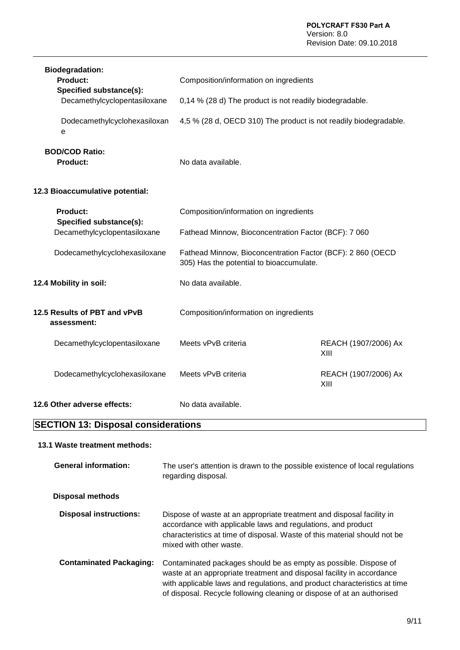| <b>Biodegradation:</b><br>Product:<br>Specified substance(s): | Composition/information on ingredients                                                                 |                              |
|---------------------------------------------------------------|--------------------------------------------------------------------------------------------------------|------------------------------|
| Decamethylcyclopentasiloxane                                  | 0,14 % (28 d) The product is not readily biodegradable.                                                |                              |
| Dodecamethylcyclohexasiloxan<br>е                             | 4,5 % (28 d, OECD 310) The product is not readily biodegradable.                                       |                              |
| <b>BOD/COD Ratio:</b><br><b>Product:</b>                      | No data available.                                                                                     |                              |
| 12.3 Bioaccumulative potential:                               |                                                                                                        |                              |
| <b>Product:</b><br>Specified substance(s):                    | Composition/information on ingredients                                                                 |                              |
| Decamethylcyclopentasiloxane                                  | Fathead Minnow, Bioconcentration Factor (BCF): 7 060                                                   |                              |
| Dodecamethylcyclohexasiloxane                                 | Fathead Minnow, Bioconcentration Factor (BCF): 2 860 (OECD<br>305) Has the potential to bioaccumulate. |                              |
| 12.4 Mobility in soil:                                        | No data available.                                                                                     |                              |
| 12.5 Results of PBT and vPvB<br>assessment:                   | Composition/information on ingredients                                                                 |                              |
| Decamethylcyclopentasiloxane                                  | Meets vPvB criteria                                                                                    | REACH (1907/2006) Ax<br>XIII |
| Dodecamethylcyclohexasiloxane                                 | Meets vPvB criteria                                                                                    | REACH (1907/2006) Ax<br>XIII |
| 12.6 Other adverse effects:                                   | No data available.                                                                                     |                              |

# **SECTION 13: Disposal considerations**

#### **13.1 Waste treatment methods:**

| <b>General information:</b>    | The user's attention is drawn to the possible existence of local regulations<br>regarding disposal.                                                                                                                                                                                              |
|--------------------------------|--------------------------------------------------------------------------------------------------------------------------------------------------------------------------------------------------------------------------------------------------------------------------------------------------|
| Disposal methods               |                                                                                                                                                                                                                                                                                                  |
| <b>Disposal instructions:</b>  | Dispose of waste at an appropriate treatment and disposal facility in<br>accordance with applicable laws and regulations, and product<br>characteristics at time of disposal. Waste of this material should not be<br>mixed with other waste.                                                    |
| <b>Contaminated Packaging:</b> | Contaminated packages should be as empty as possible. Dispose of<br>waste at an appropriate treatment and disposal facility in accordance<br>with applicable laws and regulations, and product characteristics at time<br>of disposal. Recycle following cleaning or dispose of at an authorised |